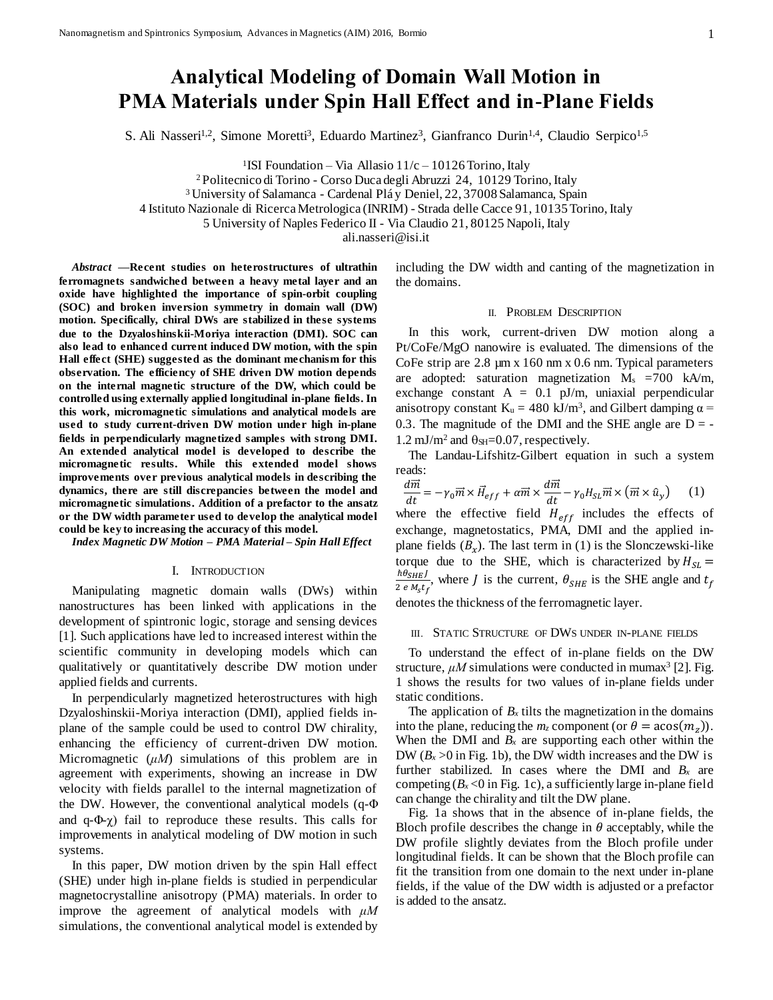# **Analytical Modeling of Domain Wall Motion in PMA Materials under Spin Hall Effect and in-Plane Fields**

S. Ali Nasseri<sup>1,2</sup>, Simone Moretti<sup>3</sup>, Eduardo Martinez<sup>3</sup>, Gianfranco Durin<sup>1,4</sup>, Claudio Serpico<sup>1,5</sup>

<sup>1</sup>ISI Foundation – Via Allasio  $11/c - 10126$  Torino, Italy

<sup>2</sup> Politecnico di Torino - Corso Duca degli Abruzzi 24, 10129 Torino, Italy

<sup>3</sup> University of Salamanca - Cardenal Plá y Deniel, 22, 37008 Salamanca, Spain

4 Istituto Nazionale di Ricerca Metrologica (INRIM) - Strada delle Cacce 91, 10135 Torino, Italy

5 University of Naples Federico II - Via Claudio 21, 80125 Napoli, Italy

ali.nasseri@isi.it

*Abstract* **—Recent studies on heterostructures of ultrathin ferromagnets sandwiched between a heavy metal layer and an oxide have highlighted the importance of spin-orbit coupling (SOC) and broken inversion symmetry in domain wall (DW) motion. Specifically, chiral DWs are stabilized in these systems due to the Dzyaloshinskii-Moriya interaction (DMI). SOC can also lead to enhanced current induced DW motion, with the spin Hall effect (SHE) suggested as the dominant mechanism for this observation. The efficiency of SHE driven DW motion depends on the internal magnetic structure of the DW, which could be controlled using externally applied longitudinal in-plane fields. In this work, micromagnetic simulations and analytical models are used to study current-driven DW motion under high in-plane fields in perpendicularly magnetized samples with strong DMI. An extended analytical model is developed to describe the micromagnetic results. While this extended model shows improvements over previous analytical models in describing the dynamics, there are still discrepancies between the model and micromagnetic simulations. Addition of a prefactor to the ansatz or the DW width parameter used to develop the analytical model could be key to increasing the accuracy of this model.**

*Index Magnetic DW Motion – PMA Material – Spin Hall Effect*

## I. INTRODUCTION

Manipulating magnetic domain walls (DWs) within nanostructures has been linked with applications in the development of spintronic logic, storage and sensing devices [1]. Such applications have led to increased interest within the scientific community in developing models which can qualitatively or quantitatively describe DW motion under applied fields and currents.

In perpendicularly magnetized heterostructures with high Dzyaloshinskii-Moriya interaction (DMI), applied fields inplane of the sample could be used to control DW chirality, enhancing the efficiency of current-driven DW motion. Micromagnetic (*μM*) simulations of this problem are in agreement with experiments, showing an increase in DW velocity with fields parallel to the internal magnetization of the DW. However, the conventional analytical models (q-Φ and  $q-\Phi(\gamma)$  fail to reproduce these results. This calls for improvements in analytical modeling of DW motion in such systems.

In this paper, DW motion driven by the spin Hall effect (SHE) under high in-plane fields is studied in perpendicular magnetocrystalline anisotropy (PMA) materials. In order to improve the agreement of analytical models with *μM* simulations, the conventional analytical model is extended by including the DW width and canting of the magnetization in the domains.

#### II. PROBLEM DESCRIPTION

In this work, current-driven DW motion along a Pt/CoFe/MgO nanowire is evaluated. The dimensions of the CoFe strip are 2.8 µm x 160 nm x 0.6 nm. Typical parameters are adopted: saturation magnetization  $M_s$  =700 kA/m, exchange constant  $A = 0.1$  pJ/m, uniaxial perpendicular anisotropy constant  $K_u = 480 \text{ kJ/m}^3$ , and Gilbert damping  $\alpha =$ 0.3. The magnitude of the DMI and the SHE angle are  $D = 1.2 \text{ mJ/m}^2$  and  $\theta_{\text{SH}} = 0.07$ , respectively.

The Landau-Lifshitz-Gilbert equation in such a system reads:

$$
\frac{d\vec{m}}{dt} = -\gamma_0 \vec{m} \times \vec{H}_{eff} + \alpha \vec{m} \times \frac{d\vec{m}}{dt} - \gamma_0 H_{SL} \vec{m} \times (\vec{m} \times \hat{u}_y)
$$
 (1)

where the effective field  $H_{eff}$  includes the effects of exchange, magnetostatics, PMA, DMI and the applied inplane fields  $(B_x)$ . The last term in (1) is the Slonczewski-like torque due to the SHE, which is characterized by  $H_{SL}$  = ħθ<sub>SHE</sub>J  $\frac{n_{OSHEJ}}{2 e M_S t_f}$ , where *J* is the current,  $\theta_{SHE}$  is the SHE angle and  $t_f$ 

denotes the thickness of the ferromagnetic layer.

### III. STATIC STRUCTURE OF DWS UNDER IN-PLANE FIELDS

To understand the effect of in-plane fields on the DW structure,  $\mu$ *M* simulations were conducted in mumax<sup>3</sup> [2]. Fig. [1](#page-1-0) shows the results for two values of in-plane fields under static conditions.

The application of  $B_x$  tilts the magnetization in the domains into the plane, reducing the  $m_z$  component (or  $\theta = a\cos(m_z)$ ). When the DMI and  $B_x$  are supporting each other within the DW  $(B_x > 0$  i[n Fig. 1b](#page-1-0)), the DW width increases and the DW is further stabilized. In cases where the DMI and  $B_x$  are competing  $(B_x < 0$  in [Fig. 1c](#page-1-0)), a sufficiently large in-plane field can change the chirality and tilt the DW plane.

[Fig. 1a](#page-1-0) shows that in the absence of in-plane fields, the Bloch profile describes the change in  $\theta$  acceptably, while the DW profile slightly deviates from the Bloch profile under longitudinal fields. It can be shown that the Bloch profile can fit the transition from one domain to the next under in-plane fields, if the value of the DW width is adjusted or a prefactor is added to the ansatz.